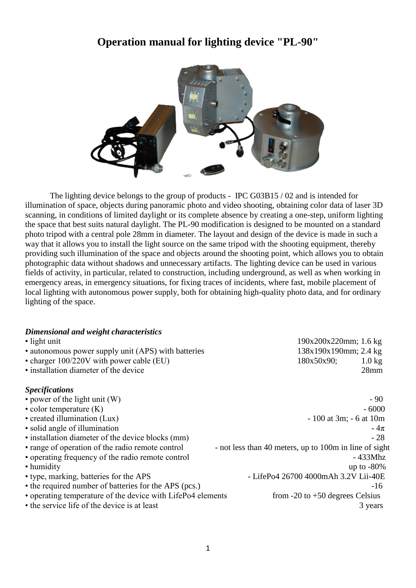# **Operation manual for lighting device "PL-90"**



The lighting device belongs to the group of products - IPC G03B15 / 02 and is intended for illumination of space, objects during panoramic photo and video shooting, obtaining color data of laser 3D scanning, in conditions of limited daylight or its complete absence by creating a one-step, uniform lighting the space that best suits natural daylight. The PL-90 modification is designed to be mounted on a standard photo tripod with a central pole 28mm in diameter. The layout and design of the device is made in such a way that it allows you to install the light source on the same tripod with the shooting equipment, thereby providing such illumination of the space and objects around the shooting point, which allows you to obtain photographic data without shadows and unnecessary artifacts. The lighting device can be used in various fields of activity, in particular, related to construction, including underground, as well as when working in emergency areas, in emergency situations, for fixing traces of incidents, where fast, mobile placement of local lighting with autonomous power supply, both for obtaining high-quality photo data, and for ordinary lighting of the space.

| Dimensional and weight characteristics                      |                                                        |  |
|-------------------------------------------------------------|--------------------------------------------------------|--|
| • light unit                                                | 190x200x220mm; 1.6 kg                                  |  |
| • autonomous power supply unit (APS) with batteries         | 138x190x190mm; 2.4 kg                                  |  |
| • charger 100/220V with power cable (EU)                    | 180x50x90;<br>$1.0 \text{ kg}$                         |  |
| • installation diameter of the device                       | 28mm                                                   |  |
| <b>Specifications</b>                                       |                                                        |  |
| • power of the light unit (W)                               | $-90^{-}$                                              |  |
| $\bullet$ color temperature $(K)$                           | $-6000$                                                |  |
| • created illumination (Lux)                                | $-100$ at 3m; $-6$ at 10m                              |  |
| • solid angle of illumination                               | $-4\pi$                                                |  |
| • installation diameter of the device blocks (mm)           | $-28$                                                  |  |
| • range of operation of the radio remote control            | - not less than 40 meters, up to 100m in line of sight |  |
| • operating frequency of the radio remote control           | $-433Mhz$                                              |  |
| • humidity                                                  | up to $-80\%$                                          |  |
| • type, marking, batteries for the APS                      | - LifePo4 26700 4000mAh 3.2V Lii-40E                   |  |
| • the required number of batteries for the APS (pcs.)       | $-16$                                                  |  |
| • operating temperature of the device with LifePo4 elements | from $-20$ to $+50$ degrees Celsius                    |  |
| • the service life of the device is at least                | 3 years                                                |  |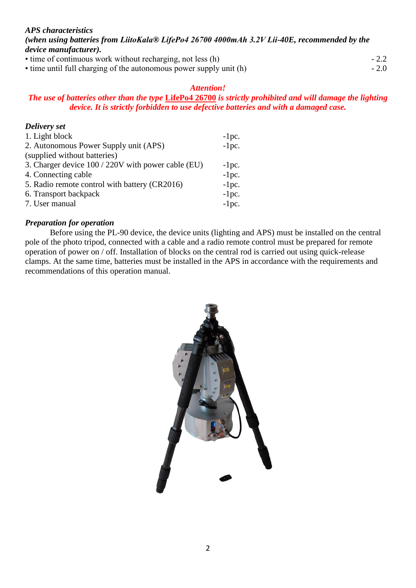#### *APS characteristics (when using batteries from LiitoKala® LifePo4 26700 4000mAh 3.2V Lii-40E, recommended by the device manufacturer).* • time of continuous work without recharging, not less (h)  $-2.2$

• time until full charging of the autonomous power supply unit (h)  $-2.0$ 

### *Attention!*

### *The use of batteries other than the type* **LifePo4 26700** *is strictly prohibited and will damage the lighting device. It is strictly forbidden to use defective batteries and with a damaged case.*

### *Delivery set*

| 1. Light block                                     | $-1pc.$ |
|----------------------------------------------------|---------|
| 2. Autonomous Power Supply unit (APS)              | $-1pc.$ |
| (supplied without batteries)                       |         |
| 3. Charger device 100 / 220V with power cable (EU) | $-1pc.$ |
| 4. Connecting cable                                | $-1pc.$ |
| 5. Radio remote control with battery (CR2016)      | $-1pc.$ |
| 6. Transport backpack                              | $-1pc.$ |
| 7. User manual                                     | $-1pc.$ |

### *Preparation for operation*

Before using the PL-90 device, the device units (lighting and APS) must be installed on the central pole of the photo tripod, connected with a cable and a radio remote control must be prepared for remote operation of power on / off. Installation of blocks on the central rod is carried out using quick-release clamps. At the same time, batteries must be installed in the APS in accordance with the requirements and recommendations of this operation manual.

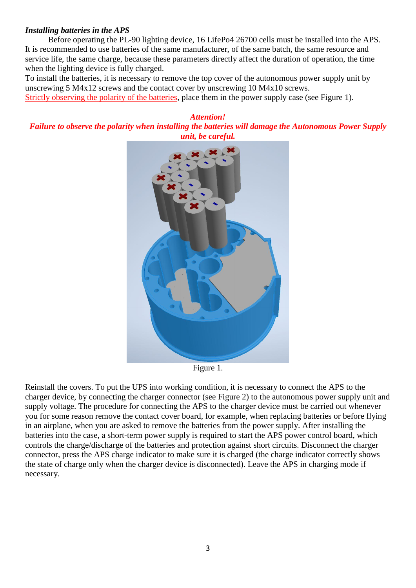#### *Installing batteries in the APS*

 Before operating the PL-90 lighting device, 16 LifePo4 26700 cells must be installed into the APS. It is recommended to use batteries of the same manufacturer, of the same batch, the same resource and service life, the same charge, because these parameters directly affect the duration of operation, the time when the lighting device is fully charged.

To install the batteries, it is necessary to remove the top cover of the autonomous power supply unit by unscrewing 5 M4x12 screws and the contact cover by unscrewing 10 M4x10 screws.

Strictly observing the polarity of the batteries, place them in the power supply case (see Figure 1).

#### *Attention! Failure to observe the polarity when installing the batteries will damage the Autonomous Power Supply unit, be careful.*



Figure 1.

Reinstall the covers. To put the UPS into working condition, it is necessary to connect the APS to the charger device, by connecting the charger connector (see Figure 2) to the autonomous power supply unit and supply voltage. The procedure for connecting the APS to the charger device must be carried out whenever you for some reason remove the contact cover board, for example, when replacing batteries or before flying in an airplane, when you are asked to remove the batteries from the power supply. After installing the batteries into the case, a short-term power supply is required to start the APS power control board, which controls the charge/discharge of the batteries and protection against short circuits. Disconnect the charger connector, press the APS charge indicator to make sure it is charged (the charge indicator correctly shows the state of charge only when the charger device is disconnected). Leave the APS in charging mode if necessary.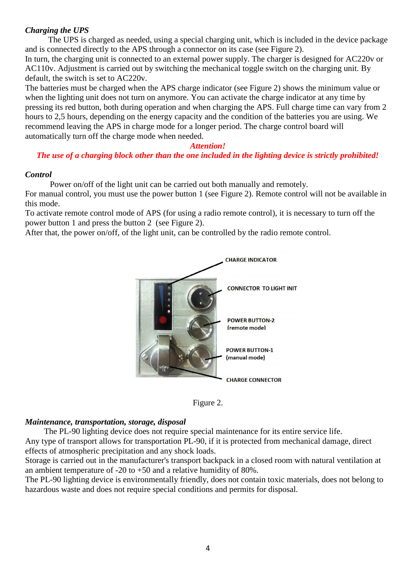### *Charging the UPS*

 The UPS is charged as needed, using a special charging unit, which is included in the device package and is connected directly to the APS through a connector on its case (see Figure 2).

In turn, the charging unit is connected to an external power supply. The charger is designed for AC220v or AC110v. Adjustment is carried out by switching the mechanical toggle switch on the charging unit. By default, the switch is set to AC220v.

The batteries must be charged when the APS charge indicator (see Figure 2) shows the minimum value or when the lighting unit does not turn on anymore. You can activate the charge indicator at any time by pressing its red button, both during operation and when charging the APS. Full charge time can vary from 2 hours to 2,5 hours, depending on the energy capacity and the condition of the batteries you are using. We recommend leaving the APS in charge mode for a longer period. The charge control board will automatically turn off the charge mode when needed.

### *Attention!*

## *The use of a charging block other than the one included in the lighting device is strictly prohibited!*

### *Control*

Power on/off of the light unit can be carried out both manually and remotely.

For manual control, you must use the power button 1 (see Figure 2). Remote control will not be available in this mode.

To activate remote control mode of APS (for using a radio remote control), it is necessary to turn off the power button 1 and press the button 2 (see Figure 2).

After that, the power on/off, of the light unit, can be controlled by the radio remote control.





### *Maintenance, transportation, storage, disposal*

 The PL-90 lighting device does not require special maintenance for its entire service life. Any type of transport allows for transportation PL-90, if it is protected from mechanical damage, direct effects of atmospheric precipitation and any shock loads.

Storage is carried out in the manufacturer's transport backpack in a closed room with natural ventilation at an ambient temperature of -20 to +50 and a relative humidity of 80%.

The PL-90 lighting device is environmentally friendly, does not contain toxic materials, does not belong to hazardous waste and does not require special conditions and permits for disposal.